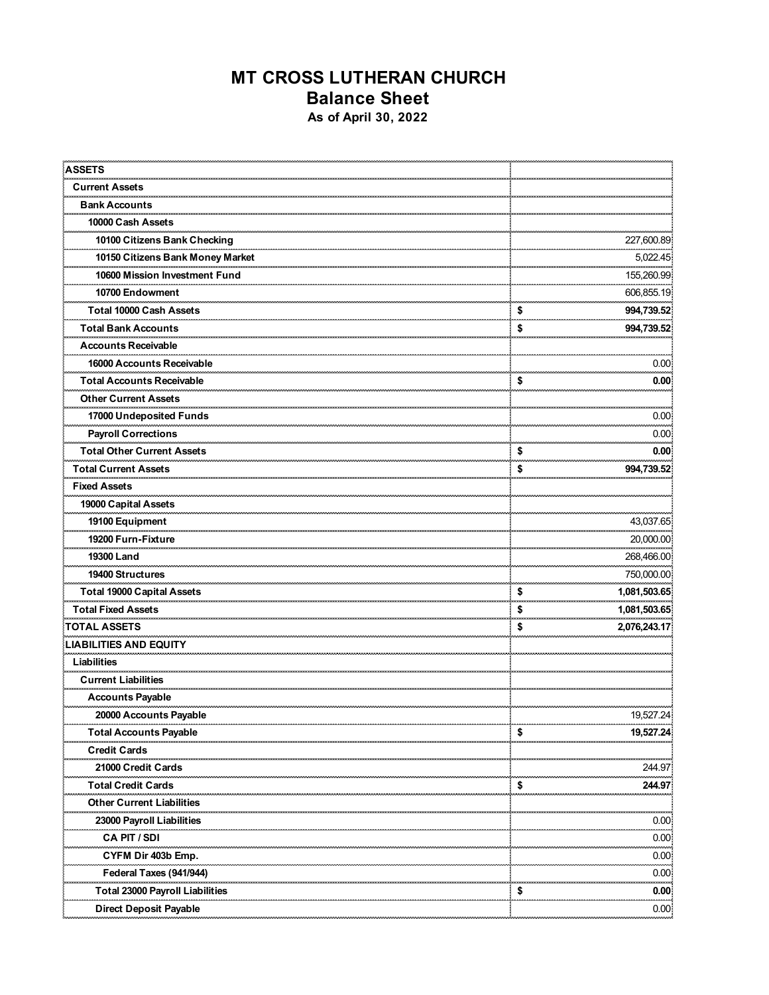## **MT CROSS LUTHERAN CHURCH Balance Sheet As of April 30, 2022**

| <b>ASSETS</b>                          |                    |
|----------------------------------------|--------------------|
| <b>Current Assets</b>                  |                    |
| <b>Bank Accounts</b>                   |                    |
| 10000 Cash Assets                      |                    |
| 10100 Citizens Bank Checking           | 227,600.89         |
| 10150 Citizens Bank Money Market       | 5,022.45           |
| 10600 Mission Investment Fund          | 155,260.99         |
| 10700 Endowment                        | 606,855.19         |
| Total 10000 Cash Assets                | \$<br>994,739.52   |
| Total Bank Accounts                    | \$<br>994,739.52   |
| <b>Accounts Receivable</b>             |                    |
| 16000 Accounts Receivable              | 0.00               |
| <b>Total Accounts Receivable</b>       | \$<br>0.00         |
| <b>Other Current Assets</b>            | مستحدده            |
| 17000 Undeposited Funds                | 0.00               |
| <b>Payroll Corrections</b>             | 0.00               |
| <b>Total Other Current Assets</b>      | \$<br>0.00         |
| <b>Total Current Assets</b>            | \$<br>994,739.52   |
| <b>Fixed Assets</b>                    |                    |
| 19000 Capital Assets                   |                    |
| 19100 Equipment                        | 43,037.65          |
| 19200 Furn-Fixture                     | 20,000.00          |
| 19300 Land                             | <br>268,466.00     |
| 19400 Structures                       | 750,000.00         |
| Total 19000 Capital Assets             | \$<br>1,081,503.65 |
| <b>Total Fixed Assets</b>              | \$<br>1,081,503.65 |
| <b>TOTAL ASSETS</b>                    | \$<br>2,076,243.17 |
| <b>LIABILITIES AND EQUITY</b>          |                    |
| Liabilities                            |                    |
| <b>Current Liabilities</b>             |                    |
| <b>Accounts Payable</b>                |                    |
| 20000 Accounts Payable                 | 19,527.24          |
| <b>Total Accounts Payable</b>          | \$<br>19,527.24    |
| Credit Cards                           |                    |
| 21000 Credit Cards                     | 244.97             |
| <b>Total Credit Cards</b>              | \$<br>244.97       |
| Other Current<br>iabilities            |                    |
| 23000 Payroll Liabilities              | 0.00               |
| CA PIT / SDI                           | 0.00               |
| CYFM Dir 403b Emp.                     | 0.00               |
| Federal Taxes (941/944)                | 0.00               |
| <b>Total 23000 Payroll Liabilities</b> | \$<br>0.00         |
| <b>Direct Deposit Payable</b>          | 0.00               |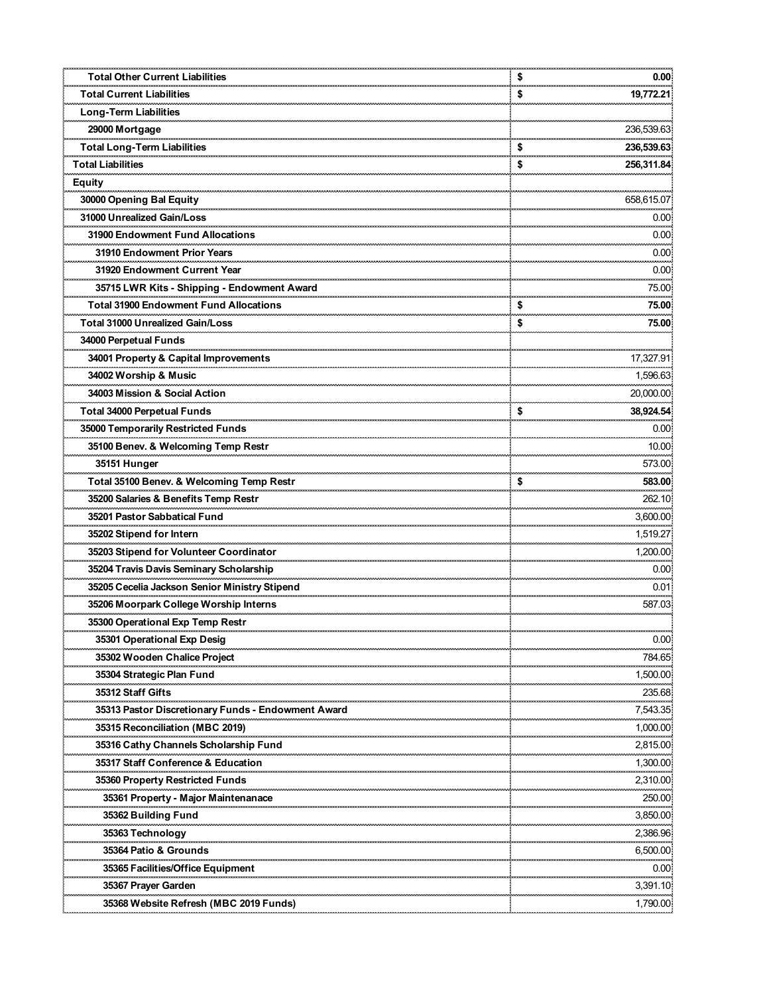| <b>Total Other Current Liabilities</b>                                                | \$<br>0.00             |
|---------------------------------------------------------------------------------------|------------------------|
| <b>Total Current Liabilities</b>                                                      | \$<br>19,772.21        |
| Long-Term Liabilities                                                                 |                        |
| 29000 Mortgage                                                                        | 236,539.63             |
| Total Long-Term Liabilities                                                           | \$<br>236,539.63<br>   |
| <b>Total Liabilities</b>                                                              | \$<br>256,311.84       |
| <b>Equity</b>                                                                         |                        |
| 30000 Opening Bal Equity                                                              | 658,615.07             |
| 31000 Unrealized Gain/Loss                                                            | 0.00                   |
| 31900 Endowment Fund Allocations                                                      | 0.00                   |
| 31910 Endowment Prior Years                                                           | 0.00                   |
| 31920 Endowment Current Year                                                          | 0.00                   |
| 35715 LWR Kits - Shipping - Endowment Award                                           | 75.00                  |
| <b>Total 31900 Endowment Fund Allocations</b>                                         | \$<br>75.00<br>مستسعين |
| <b>Total 31000 Unrealized Gain/Loss</b>                                               | \$<br>75.00            |
| 34000 Perpetual Funds                                                                 |                        |
| 34001 Property & Capital Improvements                                                 | 17,327.91<br>          |
| 34002 Worship & Music                                                                 | 1,596.63               |
| 34003 Mission & Social Action                                                         | 20,000.00              |
|                                                                                       | \$<br>38,924.54<br>    |
| 35000 Temporarily Restricted Funds                                                    | 0.00                   |
| 35100 Benev. & Welcoming Temp Restr                                                   | 10.00                  |
| 35151 Hunger                                                                          | 573.00                 |
| Total 35100 Benev. & Welcoming Temp Restr                                             | \$<br>583.00           |
| 35200 Salaries & Benefits Temp Restr                                                  | 262.10                 |
| 35201 Pastor Sabbatical Fund                                                          | 3,600.00<br>           |
| 35202 Stipend for Intern                                                              | 1,519.27               |
| 35203 Stipend for Volunteer Coordinator                                               | 1,200.00               |
| 35204 Travis Davis Seminary Scholarship                                               | 0.00                   |
| 35205 Cecelia Jackson Senior Ministry Stipend                                         | 0.01                   |
| 35206 Moorpark College Worship Interns                                                | 587.03                 |
| 35300 Operational Exp Temp Restr                                                      |                        |
| 35301 Operational Exp Desig                                                           | 0.00                   |
| 35302 Wooden Chalice Project                                                          | 784.65                 |
| 35304 Strategic Plan Fund                                                             | 1,500.00               |
| 35312 Staff Gifts                                                                     | 235.68                 |
| 35313 Pastor Discretionary Funds - Endowment Award<br>35315 Reconciliation (MBC 2019) | 7,543.35<br>1,000.00   |
| 35316 Cathy Channels Scholarship Fund                                                 | <br>2,815.00           |
| 35317 Staff Conference & Education                                                    | 1,300.00               |
| 35360 Property Restricted Funds                                                       | 2.310.00               |
| 35361 Property - Major Maintenanace                                                   | <br>250.00             |
| 35362 Building Fund                                                                   | 3,850.00               |
| 35363 Technology                                                                      | 2,386.96               |
| 35364 Patio & Grounds                                                                 | <br>6,500.00           |
| 35365 Facilities/Office Equipment                                                     | 0.00                   |
| 35367 Prayer Garden                                                                   | 3,391.10               |
| 35368 Website Refresh (MBC 2019 Funds)                                                | 1,790.00               |
|                                                                                       |                        |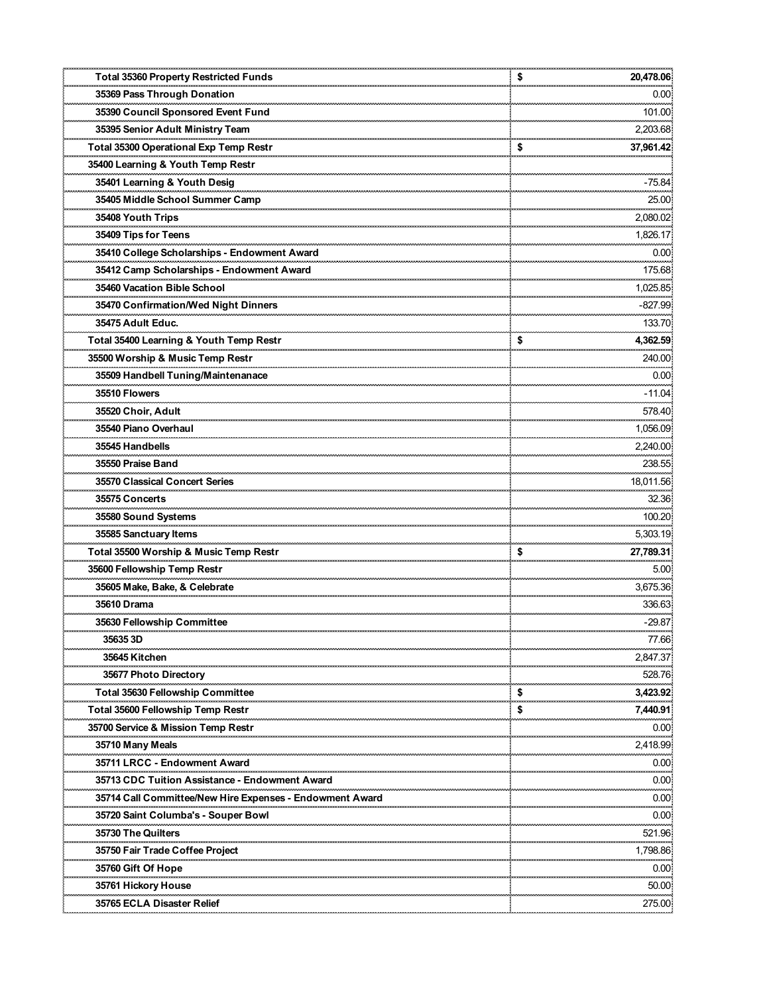| <b>Total 35360 Property Restricted Funds</b>             | \$<br>20,478.06           |
|----------------------------------------------------------|---------------------------|
| 35369 Pass Through Donation                              | 0.00<br>                  |
| 35390 Council Sponsored Event Fund                       | 101.00                    |
| 35395 Senior Adult Ministry Team                         | 2,203.68                  |
| Total 35300 Operational Exp Temp Restr                   | \$<br>37,961.42           |
| 35400 Learning & Youth Temp Restr                        |                           |
| 35401 Learning & Youth Desig                             | -75.84                    |
| 35405 Middle School Summer Camp                          | 25.00                     |
| 35408 Youth Trips                                        | <br>2,080.02              |
| 35409 Tips for Teens                                     | 1,826.17                  |
| 35410 College Scholarships - Endowment Award             | 0.00                      |
| 35412 Camp Scholarships - Endowment Award                | 175.68                    |
| 35460 Vacation Bible School                              | 1,025.85                  |
| 35470 Confirmation/Wed Night Dinners                     | -827.99                   |
| 35475 Adult Educ.                                        | <br>133.70                |
| Total 35400 Learning & Youth Temp Restr                  | \$<br>4,362.59            |
| 35500 Worship & Music Temp Restr                         | 240.00                    |
| 35509 Handbell Tuning/Maintenanace                       | 0.00                      |
| 35510 Flowers                                            | -11.04                    |
| 35520 Choir, Adult                                       | 578.40                    |
| 35540 Piano Overhaul                                     | <br>1,056.09              |
| 35545 Handbells                                          | 2,240.00                  |
| 35550 Praise Band                                        | 238.55                    |
| 35570 Classical Concert Series                           | 18,011.56                 |
| 35575 Concerts                                           | 32.36                     |
| 35580 Sound Systems                                      | <br>100.20                |
| 35585 Sanctuary Items                                    | <br>5,303.19              |
| Total 35500 Worship & Music Temp Restr                   | \$<br>27,789.31           |
| 35600 Fellowship Temp Restr                              | 5.00                      |
| 35605 Make, Bake, & Celebrate                            | ,,,,,,,,,,,,,<br>3,675.36 |
| 35610 Drama                                              | 336.63                    |
| 35630 Fellowship Committee                               | $-29.87$                  |
| ,,,,,,,,,,,,,,,,,,<br>35635 3D                           | ,,,,,,,,,,<br>77.66       |
| 35645 Kitchen                                            | 2,847.37                  |
| 35677 Photo Directory                                    | 528.76                    |
| Total 35630 Fellowship Committee                         | \$<br>3,423.92            |
| Total 35600 Fellowship Temp Restr                        | \$<br>7,440.91            |
| 35700 Service & Mission Temp Restr                       | 0.00                      |
| 35710 Many Meals                                         | محمد محمد<br>2,418.99     |
| 35711 LRCC - Endowment Award                             | 0.00                      |
| 35713 CDC Tuition Assistance - Endowment Award           | 0.00                      |
| 35714 Call Committee/New Hire Expenses - Endowment Award | ,,,,,,,,,<br>0.00         |
| 35720 Saint Columba's - Souper Bowl                      | 0.00                      |
| 35730 The Quilters                                       | 521.96                    |
| <br>35750 Fair Trade Coffee Project                      | .<br>1,798.86             |
| 35760 Gift Of Hope                                       | 0.00                      |
| 35761 Hickory House                                      | 50.00                     |
| 35765 ECLA Disaster Relief                               | 275.00                    |
|                                                          |                           |